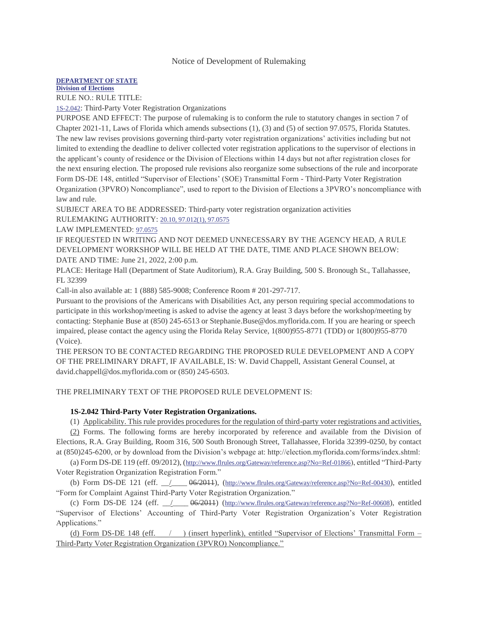## Notice of Development of Rulemaking

## **[DEPARTMENT OF STATE](https://www.flrules.org/gateway/department.asp?id=1)**

**[Division of Elections](https://www.flrules.org/gateway/organization.asp?id=16)**

RULE NO.: RULE TITLE:

[1S-2.042](https://www.flrules.org/gateway/ruleNo.asp?id=1S-2.042): Third-Party Voter Registration Organizations

PURPOSE AND EFFECT: The purpose of rulemaking is to conform the rule to statutory changes in section 7 of Chapter 2021-11, Laws of Florida which amends subsections (1), (3) and (5) of section 97.0575, Florida Statutes. The new law revises provisions governing third-party voter registration organizations' activities including but not limited to extending the deadline to deliver collected voter registration applications to the supervisor of elections in the applicant's county of residence or the Division of Elections within 14 days but not after registration closes for the next ensuring election. The proposed rule revisions also reorganize some subsections of the rule and incorporate Form DS-DE 148, entitled "Supervisor of Elections' (SOE) Transmittal Form - Third-Party Voter Registration Organization (3PVRO) Noncompliance", used to report to the Division of Elections a 3PVRO's noncompliance with law and rule.

SUBJECT AREA TO BE ADDRESSED: Third-party voter registration organization activities RULEMAKING AUTHORITY: [20.10, 97.012\(1\), 97.0575](https://www.flrules.org/gateway/cfr.asp?id=20.10,%2097.012(1),%2097.0575)

LAW IMPLEMENTED: [97.0575](https://www.flrules.org/gateway/cfr.asp?id=97.0575)

IF REQUESTED IN WRITING AND NOT DEEMED UNNECESSARY BY THE AGENCY HEAD, A RULE DEVELOPMENT WORKSHOP WILL BE HELD AT THE DATE, TIME AND PLACE SHOWN BELOW: DATE AND TIME: June 21, 2022, 2:00 p.m.

PLACE: Heritage Hall (Department of State Auditorium), R.A. Gray Building, 500 S. Bronough St., Tallahassee, FL 32399

Call-in also available at: 1 (888) 585-9008; Conference Room # 201-297-717.

Pursuant to the provisions of the Americans with Disabilities Act, any person requiring special accommodations to participate in this workshop/meeting is asked to advise the agency at least 3 days before the workshop/meeting by contacting: Stephanie Buse at (850) 245-6513 or Stephanie.Buse@dos.myflorida.com. If you are hearing or speech impaired, please contact the agency using the Florida Relay Service, 1(800)955-8771 (TDD) or 1(800)955-8770 (Voice).

THE PERSON TO BE CONTACTED REGARDING THE PROPOSED RULE DEVELOPMENT AND A COPY OF THE PRELIMINARY DRAFT, IF AVAILABLE, IS: W. David Chappell, Assistant General Counsel, at david.chappell@dos.myflorida.com or (850) 245-6503.

THE PRELIMINARY TEXT OF THE PROPOSED RULE DEVELOPMENT IS:

## **1S-2.042 Third-Party Voter Registration Organizations.**

(1) Applicability. This rule provides procedures for the regulation of third-party voter registrations and activities,

(2) Forms. The following forms are hereby incorporated by reference and available from the Division of Elections, R.A. Gray Building, Room 316, 500 South Bronough Street, Tallahassee, Florida 32399-0250, by contact at (850)245-6200, or by download from the Division's webpage at: http://election.myflorida.com/forms/index.shtml:

(a) Form DS-DE 119 (eff. 09/2012), ([http://www.flrules.org/Gateway/reference.asp?No=Ref-01866](https://www.flrules.org/Gateway/reference.asp?No=Ref-01866)), entitled "Third-Party Voter Registration Organization Registration Form."

(b) Form DS-DE 121 (eff.  $\angle$  06/2011), ([http://www.flrules.org/Gateway/reference.asp?No=Ref-00430](https://www.flrules.org/Gateway/reference.asp?No=Ref-00430)), entitled "Form for Complaint Against Third-Party Voter Registration Organization."

(c) Form DS-DE 124 (eff.  $\angle$   $\angle$  06/2011) ([http://www.flrules.org/Gateway/reference.asp?No=Ref-00608](https://www.flrules.org/Gateway/reference.asp?No=Ref-00608)), entitled "Supervisor of Elections' Accounting of Third-Party Voter Registration Organization's Voter Registration Applications."

(d) Form DS-DE 148 (eff.  $\qquad$  ) (insert hyperlink), entitled "Supervisor of Elections' Transmittal Form – Third-Party Voter Registration Organization (3PVRO) Noncompliance."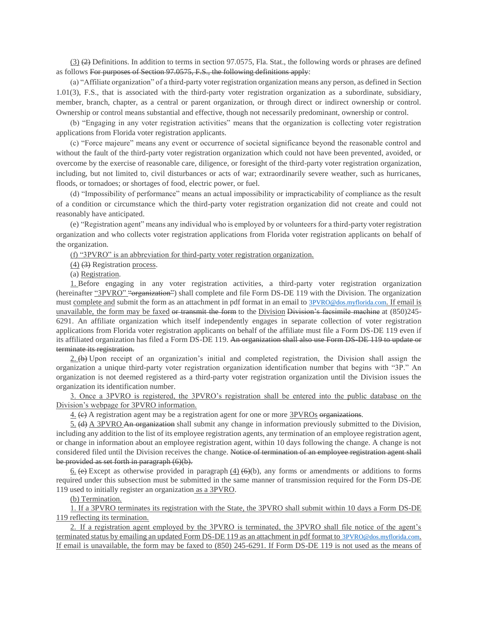(3)  $(2)$  Definitions. In addition to terms in section 97.0575, Fla. Stat., the following words or phrases are defined as follows For purposes of Section 97.0575, F.S., the following definitions apply:

(a) "Affiliate organization" of a third-party voter registration organization means any person, as defined in Section 1.01(3), F.S., that is associated with the third-party voter registration organization as a subordinate, subsidiary, member, branch, chapter, as a central or parent organization, or through direct or indirect ownership or control. Ownership or control means substantial and effective, though not necessarily predominant, ownership or control.

(b) "Engaging in any voter registration activities" means that the organization is collecting voter registration applications from Florida voter registration applicants.

(c) "Force majeure" means any event or occurrence of societal significance beyond the reasonable control and without the fault of the third-party voter registration organization which could not have been prevented, avoided, or overcome by the exercise of reasonable care, diligence, or foresight of the third-party voter registration organization, including, but not limited to, civil disturbances or acts of war; extraordinarily severe weather, such as hurricanes, floods, or tornadoes; or shortages of food, electric power, or fuel.

(d) "Impossibility of performance" means an actual impossibility or impracticability of compliance as the result of a condition or circumstance which the third-party voter registration organization did not create and could not reasonably have anticipated.

(e) "Registration agent" means any individual who is employed by or volunteers for a third-party voter registration organization and who collects voter registration applications from Florida voter registration applicants on behalf of the organization.

(f) "3PVRO" is an abbreviation for third-party voter registration organization.

(4) (3) Registration process.

(a) Registration.

1. Before engaging in any voter registration activities, a third-party voter registration organization (hereinafter "3PVRO" "organization") shall complete and file Form DS-DE 119 with the Division. The organization must complete and submit the form as an attachment in pdf format in an email to [3PVRO@dos.myflorida.com](mailto:3PVRO@dos.myflorida.com). If email is unavailable, the form may be faxed or transmit the form to the Division Division's facsimile machine at (850)245-6291. An affiliate organization which itself independently engages in separate collection of voter registration applications from Florida voter registration applicants on behalf of the affiliate must file a Form DS-DE 119 even if its affiliated organization has filed a Form DS-DE 119. An organization shall also use Form DS-DE 119 to update or terminate its registration.

2.  $(\theta)$  Upon receipt of an organization's initial and completed registration, the Division shall assign the organization a unique third-party voter registration organization identification number that begins with "3P." An organization is not deemed registered as a third-party voter registration organization until the Division issues the organization its identification number.

3. Once a 3PVRO is registered, the 3PVRO's registration shall be entered into the public database on the Division's webpage for 3PVRO information.

 $4.$  (e) A registration agent may be a registration agent for one or more  $3PVROs$  organizations.

5. (d) A 3PVRO An organization shall submit any change in information previously submitted to the Division, including any addition to the list of its employee registration agents, any termination of an employee registration agent, or change in information about an employee registration agent, within 10 days following the change. A change is not considered filed until the Division receives the change. Notice of termination of an employee registration agent shall be provided as set forth in paragraph (6)(b).

 $6.$  (e) Except as otherwise provided in paragraph  $(4)$  (6)(b), any forms or amendments or additions to forms required under this subsection must be submitted in the same manner of transmission required for the Form DS-DE 119 used to initially register an organization as a 3PVRO.

(b) Termination.

1. If a 3PVRO terminates its registration with the State, the 3PVRO shall submit within 10 days a Form DS-DE 119 reflecting its termination.

2. If a registration agent employed by the 3PVRO is terminated, the 3PVRO shall file notice of the agent's terminated status by emailing an updated Form DS-DE 119 as an attachment in pdf format to [3PVRO@dos.myflorida.com](mailto:3PVRO@dos.myflorida.com). If email is unavailable, the form may be faxed to (850) 245-6291. If Form DS-DE 119 is not used as the means of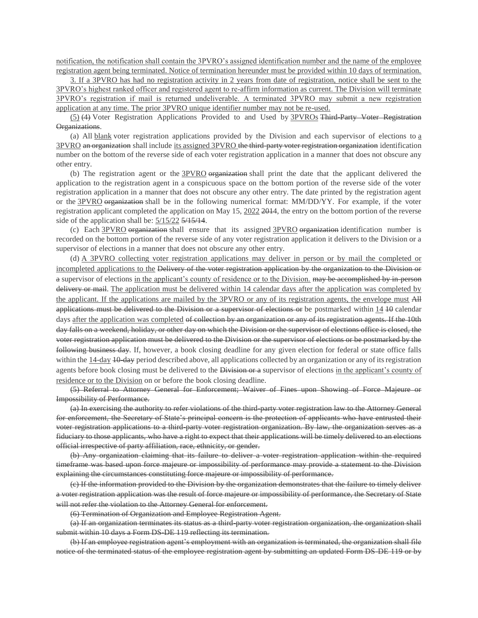notification, the notification shall contain the 3PVRO's assigned identification number and the name of the employee registration agent being terminated. Notice of termination hereunder must be provided within 10 days of termination.

3. If a 3PVRO has had no registration activity in 2 years from date of registration, notice shall be sent to the 3PVRO's highest ranked officer and registered agent to re-affirm information as current. The Division will terminate 3PVRO's registration if mail is returned undeliverable. A terminated 3PVRO may submit a new registration application at any time. The prior 3PVRO unique identifier number may not be re-used.

(5) (4) Voter Registration Applications Provided to and Used by 3PVROs Third-Party Voter Registration Organizations.

(a) All  $\underline{blank}$  voter registration applications provided by the Division and each supervisor of elections to  $\underline{a}$ 3PVRO an organization shall include its assigned 3PVRO the third-party voter registration organization identification number on the bottom of the reverse side of each voter registration application in a manner that does not obscure any other entry.

(b) The registration agent or the 3PVRO organization shall print the date that the applicant delivered the application to the registration agent in a conspicuous space on the bottom portion of the reverse side of the voter registration application in a manner that does not obscure any other entry. The date printed by the registration agent or the 3PVRO organization shall be in the following numerical format: MM/DD/YY. For example, if the voter registration applicant completed the application on May 15, 2022 2014, the entry on the bottom portion of the reverse side of the application shall be:  $5/15/22$   $\frac{5}{15/14}$ .

(c) Each  $3PVRO$  organization shall ensure that its assigned  $3PVRO$  organization identification number is recorded on the bottom portion of the reverse side of any voter registration application it delivers to the Division or a supervisor of elections in a manner that does not obscure any other entry.

(d) A 3PVRO collecting voter registration applications may deliver in person or by mail the completed or incompleted applications to the Delivery of the voter registration application by the organization to the Division or a supervisor of elections in the applicant's county of residence or to the Division. may be accomplished by in-person delivery or mail. The application must be delivered within 14 calendar days after the application was completed by the applicant. If the applications are mailed by the 3PVRO or any of its registration agents, the envelope must All applications must be delivered to the Division or a supervisor of elections or be postmarked within  $14$  40 calendar days after the application was completed of collection by an organization or any of its registration agents. If the 10th day falls on a weekend, holiday, or other day on which the Division or the supervisor of elections office is closed, the voter registration application must be delivered to the Division or the supervisor of elections or be postmarked by the following business day. If, however, a book closing deadline for any given election for federal or state office falls within the 14-day 10-day period described above, all applications collected by an organization or any of its registration agents before book closing must be delivered to the Division or a supervisor of elections in the applicant's county of residence or to the Division on or before the book closing deadline.

(5) Referral to Attorney General for Enforcement; Waiver of Fines upon Showing of Force Majeure or Impossibility of Performance.

(a) In exercising the authority to refer violations of the third-party voter registration law to the Attorney General for enforcement, the Secretary of State's principal concern is the protection of applicants who have entrusted their voter registration applications to a third-party voter registration organization. By law, the organization serves as a fiduciary to those applicants, who have a right to expect that their applications will be timely delivered to an elections official irrespective of party affiliation, race, ethnicity, or gender.

(b) Any organization claiming that its failure to deliver a voter registration application within the required timeframe was based upon force majeure or impossibility of performance may provide a statement to the Division explaining the circumstances constituting force majeure or impossibility of performance.

(c) If the information provided to the Division by the organization demonstrates that the failure to timely deliver a voter registration application was the result of force majeure or impossibility of performance, the Secretary of State will not refer the violation to the Attorney General for enforcement.

(6) Termination of Organization and Employee Registration Agent.

(a) If an organization terminates its status as a third-party voter registration organization, the organization shall submit within 10 days a Form DS-DE 119 reflecting its termination.

(b) If an employee registration agent's employment with an organization is terminated, the organization shall file notice of the terminated status of the employee registration agent by submitting an updated Form DS-DE 119 or by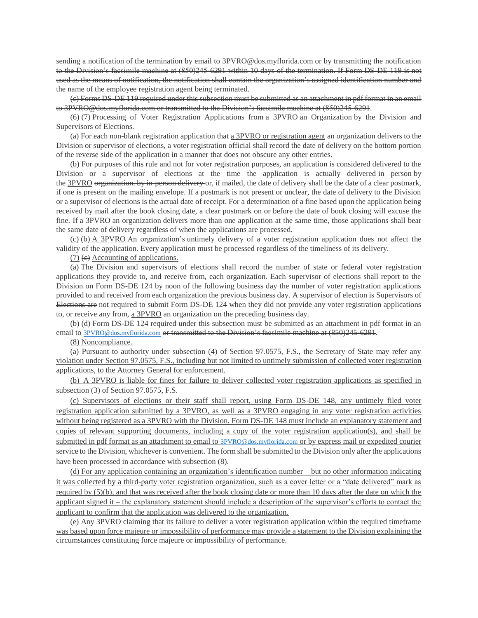sending a notification of the termination by email to 3PVRO@dos.myflorida.com or by transmitting the notification to the Division's facsimile machine at (850)245-6291 within 10 days of the termination. If Form DS-DE 119 is not used as the means of notification, the notification shall contain the organization's assigned identification number and the name of the employee registration agent being terminated.

(c) Forms DS-DE 119 required under this subsection must be submitted as an attachment in pdf format in an email to 3PVRO@dos.myflorida.com or transmitted to the Division's facsimile machine at (850)245-6291.

(6)  $(7)$  Processing of Voter Registration Applications from a 3PVRO an Organization by the Division and Supervisors of Elections.

(a) For each non-blank registration application that a 3PVRO or registration agent an organization delivers to the Division or supervisor of elections, a voter registration official shall record the date of delivery on the bottom portion of the reverse side of the application in a manner that does not obscure any other entries.

(b) For purposes of this rule and not for voter registration purposes, an application is considered delivered to the Division or a supervisor of elections at the time the application is actually delivered in person by the 3PVRO organization. by in-person delivery or, if mailed, the date of delivery shall be the date of a clear postmark, if one is present on the mailing envelope. If a postmark is not present or unclear, the date of delivery to the Division or a supervisor of elections is the actual date of receipt. For a determination of a fine based upon the application being received by mail after the book closing date, a clear postmark on or before the date of book closing will excuse the fine. If a 3PVRO an organization delivers more than one application at the same time, those applications shall bear the same date of delivery regardless of when the applications are processed.

 $(c)$  (b) A 3PVRO An organization's untimely delivery of a voter registration application does not affect the validity of the application. Every application must be processed regardless of the timeliness of its delivery.

 $(7)$  (e) Accounting of applications.

(a) The Division and supervisors of elections shall record the number of state or federal voter registration applications they provide to, and receive from, each organization. Each supervisor of elections shall report to the Division on Form DS-DE 124 by noon of the following business day the number of voter registration applications provided to and received from each organization the previous business day. A supervisor of election is Supervisors of Elections are not required to submit Form DS-DE 124 when they did not provide any voter registration applications to, or receive any from, a 3PVRO an organization on the preceding business day.

(b) (d) Form DS-DE 124 required under this subsection must be submitted as an attachment in pdf format in an email to [3PVRO@dos.myflorida.com](mailto:3PVRO@dos.myflorida.com) or transmitted to the Division's facsimile machine at (850)245-6291.

(8) Noncompliance.

(a) Pursuant to authority under subsection (4) of Section 97.0575, F.S., the Secretary of State may refer any violation under Section 97.0575, F.S., including but not limited to untimely submission of collected voter registration applications, to the Attorney General for enforcement.

(b) A 3PVRO is liable for fines for failure to deliver collected voter registration applications as specified in subsection (3) of Section 97.0575, F.S.

(c) Supervisors of elections or their staff shall report, using Form DS-DE 148, any untimely filed voter registration application submitted by a 3PVRO, as well as a 3PVRO engaging in any voter registration activities without being registered as a 3PVRO with the Division. Form DS-DE 148 must include an explanatory statement and copies of relevant supporting documents, including a copy of the voter registration application(s), and shall be submitted in pdf format as an attachment to email to [3PVRO@dos.myflorida.com](mailto:3PVRO@dos.myflorida.com) or by express mail or expedited courier service to the Division, whichever is convenient. The form shall be submitted to the Division only after the applications have been processed in accordance with subsection (8).

(d) For any application containing an organization's identification number – but no other information indicating it was collected by a third-party voter registration organization, such as a cover letter or a "date delivered" mark as required by (5)(b), and that was received after the book closing date or more than 10 days after the date on which the applicant signed it – the explanatory statement should include a description of the supervisor's efforts to contact the applicant to confirm that the application was delivered to the organization.

(e) Any 3PVRO claiming that its failure to deliver a voter registration application within the required timeframe was based upon force majeure or impossibility of performance may provide a statement to the Division explaining the circumstances constituting force majeure or impossibility of performance.